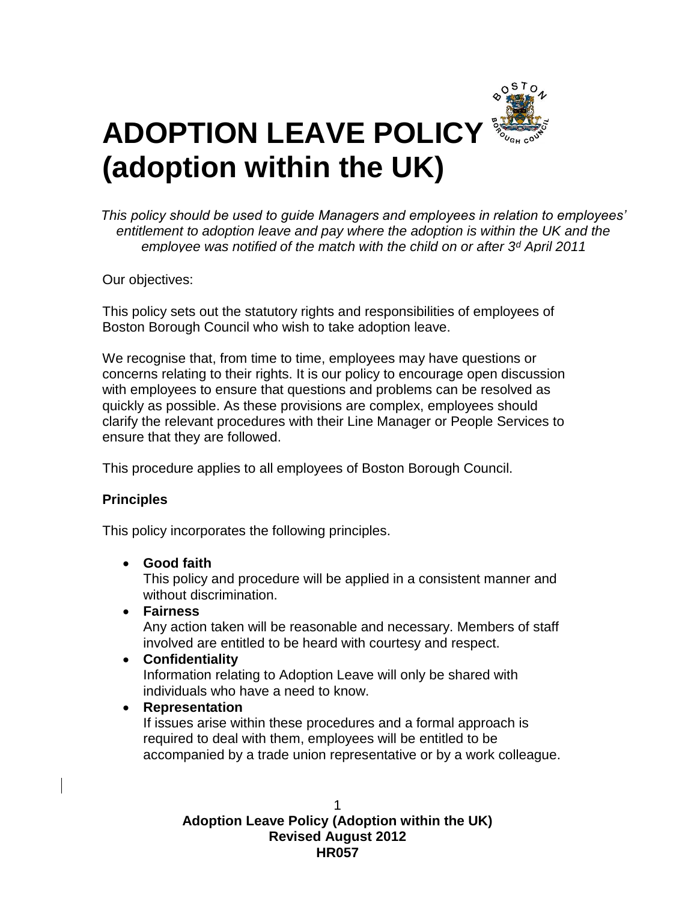

*This policy should be used to guide Managers and employees in relation to employees' entitlement to adoption leave and pay where the adoption is within the UK and the employee was notified of the match with the child on or after 3<sup>d</sup> April 2011*

Our objectives:

This policy sets out the statutory rights and responsibilities of employees of Boston Borough Council who wish to take adoption leave.

We recognise that, from time to time, employees may have questions or concerns relating to their rights. It is our policy to encourage open discussion with employees to ensure that questions and problems can be resolved as quickly as possible. As these provisions are complex, employees should clarify the relevant procedures with their Line Manager or People Services to ensure that they are followed.

This procedure applies to all employees of Boston Borough Council.

## **Principles**

This policy incorporates the following principles.

### **Good faith**

This policy and procedure will be applied in a consistent manner and without discrimination.

**Fairness**

Any action taken will be reasonable and necessary. Members of staff involved are entitled to be heard with courtesy and respect.

**Confidentiality**

Information relating to Adoption Leave will only be shared with individuals who have a need to know.

### **Representation**

If issues arise within these procedures and a formal approach is required to deal with them, employees will be entitled to be accompanied by a trade union representative or by a work colleague.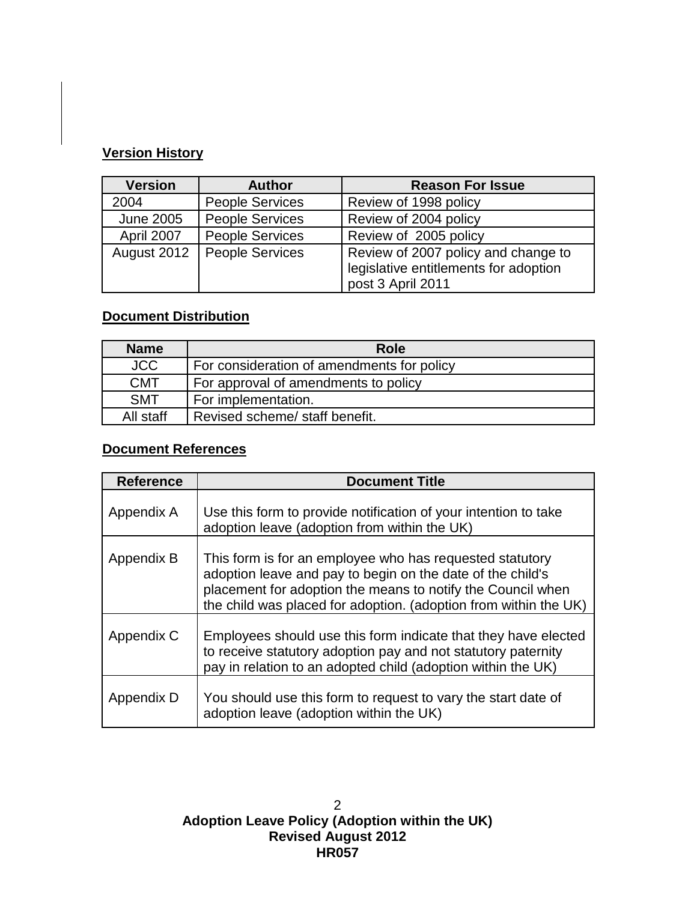# **Version History**

| <b>Version</b>   | <b>Author</b>          | <b>Reason For Issue</b>                                                                           |
|------------------|------------------------|---------------------------------------------------------------------------------------------------|
| 2004             | <b>People Services</b> | Review of 1998 policy                                                                             |
| <b>June 2005</b> | <b>People Services</b> | Review of 2004 policy                                                                             |
| April 2007       | <b>People Services</b> | Review of 2005 policy                                                                             |
| August 2012      | <b>People Services</b> | Review of 2007 policy and change to<br>legislative entitlements for adoption<br>post 3 April 2011 |

# **Document Distribution**

| <b>Name</b> | Role                                       |
|-------------|--------------------------------------------|
| <b>JCC</b>  | For consideration of amendments for policy |
| <b>CMT</b>  | For approval of amendments to policy       |
| <b>SMT</b>  | For implementation.                        |
| All staff   | Revised scheme/ staff benefit.             |

# **Document References**

| <b>Reference</b> | <b>Document Title</b>                                                                                                                                                                                                                                     |
|------------------|-----------------------------------------------------------------------------------------------------------------------------------------------------------------------------------------------------------------------------------------------------------|
| Appendix A       | Use this form to provide notification of your intention to take<br>adoption leave (adoption from within the UK)                                                                                                                                           |
| Appendix B       | This form is for an employee who has requested statutory<br>adoption leave and pay to begin on the date of the child's<br>placement for adoption the means to notify the Council when<br>the child was placed for adoption. (adoption from within the UK) |
| Appendix C       | Employees should use this form indicate that they have elected<br>to receive statutory adoption pay and not statutory paternity<br>pay in relation to an adopted child (adoption within the UK)                                                           |
| Appendix D       | You should use this form to request to vary the start date of<br>adoption leave (adoption within the UK)                                                                                                                                                  |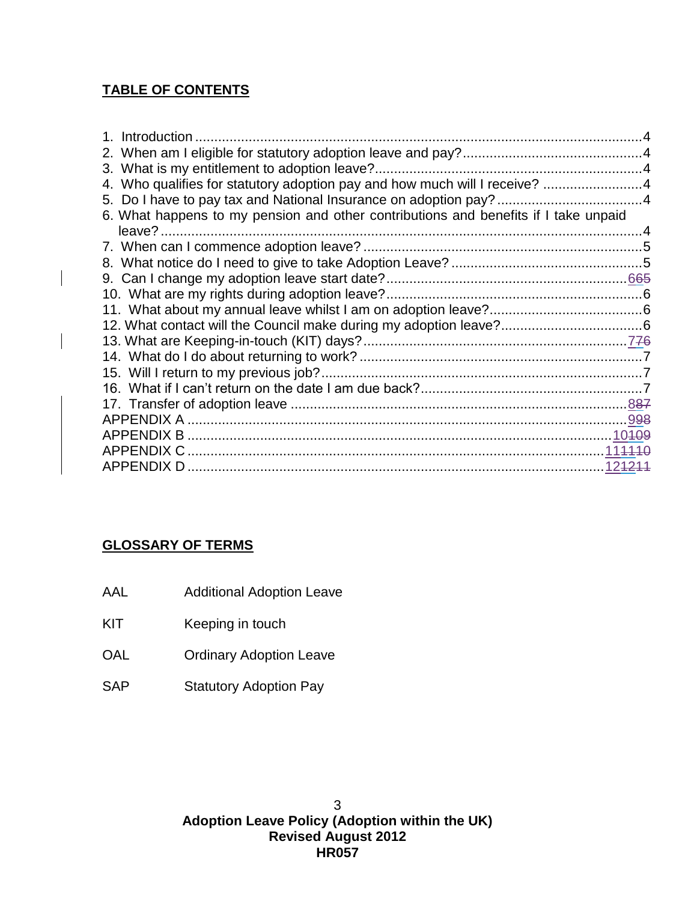# **TABLE OF CONTENTS**

| 4. Who qualifies for statutory adoption pay and how much will I receive? 4          |  |
|-------------------------------------------------------------------------------------|--|
|                                                                                     |  |
| 6. What happens to my pension and other contributions and benefits if I take unpaid |  |
|                                                                                     |  |
|                                                                                     |  |
|                                                                                     |  |
|                                                                                     |  |
|                                                                                     |  |
|                                                                                     |  |
|                                                                                     |  |
|                                                                                     |  |
|                                                                                     |  |
|                                                                                     |  |
|                                                                                     |  |
|                                                                                     |  |
|                                                                                     |  |
|                                                                                     |  |
| APPENDIX C                                                                          |  |
|                                                                                     |  |

# **GLOSSARY OF TERMS**

- AAL Additional Adoption Leave
- KIT Keeping in touch
- OAL **Ordinary Adoption Leave**
- SAP Statutory Adoption Pay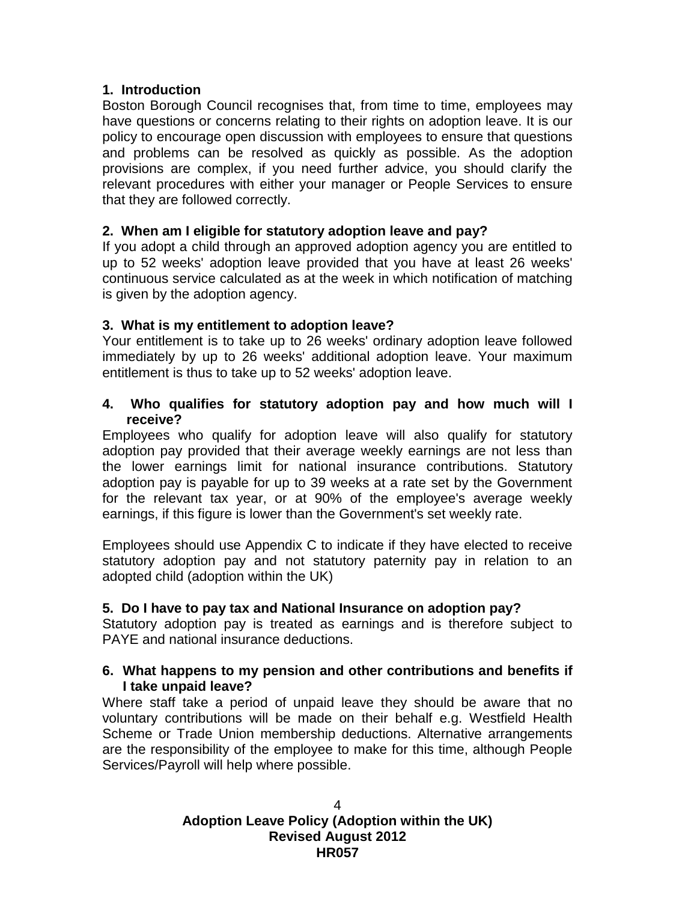### <span id="page-3-0"></span>**1. Introduction**

Boston Borough Council recognises that, from time to time, employees may have questions or concerns relating to their rights on adoption leave. It is our policy to encourage open discussion with employees to ensure that questions and problems can be resolved as quickly as possible. As the adoption provisions are complex, if you need further advice, you should clarify the relevant procedures with either your manager or People Services to ensure that they are followed correctly.

#### <span id="page-3-1"></span>**2. When am I eligible for statutory adoption leave and pay?**

If you adopt a child through an approved adoption agency you are entitled to up to 52 weeks' adoption leave provided that you have at least 26 weeks' continuous service calculated as at the week in which notification of matching is given by the adoption agency.

#### <span id="page-3-2"></span>**3. What is my entitlement to adoption leave?**

Your entitlement is to take up to 26 weeks' ordinary adoption leave followed immediately by up to 26 weeks' additional adoption leave. Your maximum entitlement is thus to take up to 52 weeks' adoption leave.

#### <span id="page-3-3"></span>**4. Who qualifies for statutory adoption pay and how much will I receive?**

Employees who qualify for adoption leave will also qualify for statutory adoption pay provided that their average weekly earnings are not less than the lower earnings limit for national insurance contributions. Statutory adoption pay is payable for up to 39 weeks at a rate set by the Government for the relevant tax year, or at 90% of the employee's average weekly earnings, if this figure is lower than the Government's set weekly rate.

Employees should use Appendix C to indicate if they have elected to receive statutory adoption pay and not statutory paternity pay in relation to an adopted child (adoption within the UK)

### <span id="page-3-4"></span>**5. Do I have to pay tax and National Insurance on adoption pay?**

Statutory adoption pay is treated as earnings and is therefore subject to PAYE and national insurance deductions.

#### <span id="page-3-5"></span>**6. What happens to my pension and other contributions and benefits if I take unpaid leave?**

Where staff take a period of unpaid leave they should be aware that no voluntary contributions will be made on their behalf e.g. Westfield Health Scheme or Trade Union membership deductions. Alternative arrangements are the responsibility of the employee to make for this time, although People Services/Payroll will help where possible.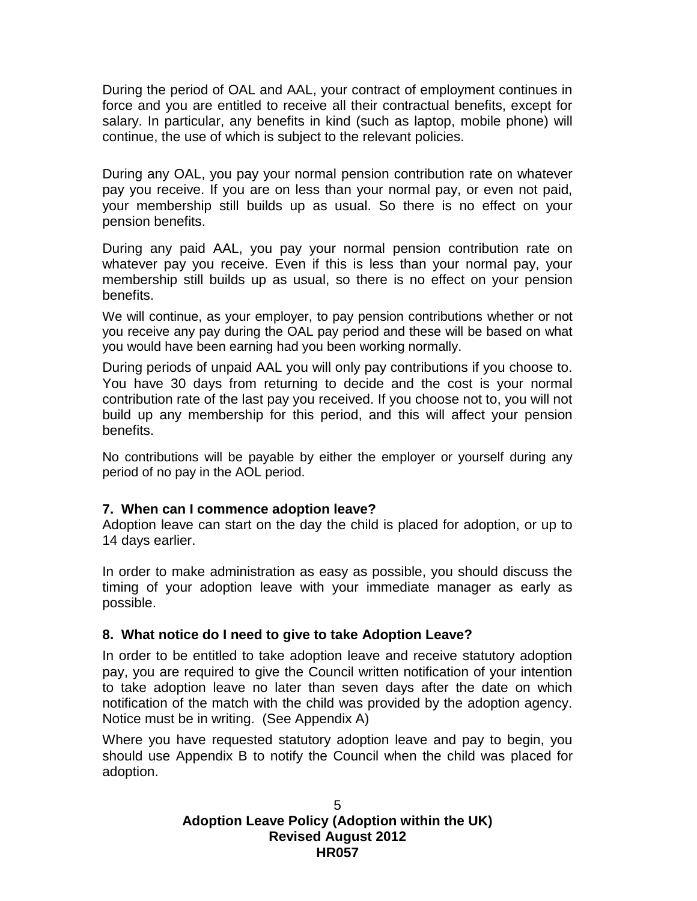During the period of OAL and AAL, your contract of employment continues in force and you are entitled to receive all their contractual benefits, except for salary. In particular, any benefits in kind (such as laptop, mobile phone) will continue, the use of which is subject to the relevant policies.

During any OAL, you pay your normal pension contribution rate on whatever pay you receive. If you are on less than your normal pay, or even not paid, your membership still builds up as usual. So there is no effect on your pension benefits.

During any paid AAL, you pay your normal pension contribution rate on whatever pay you receive. Even if this is less than your normal pay, your membership still builds up as usual, so there is no effect on your pension benefits.

We will continue, as your employer, to pay pension contributions whether or not you receive any pay during the OAL pay period and these will be based on what you would have been earning had you been working normally.

During periods of unpaid AAL you will only pay contributions if you choose to. You have 30 days from returning to decide and the cost is your normal contribution rate of the last pay you received. If you choose not to, you will not build up any membership for this period, and this will affect your pension benefits.

No contributions will be payable by either the employer or yourself during any period of no pay in the AOL period.

### <span id="page-4-0"></span>**7. When can I commence adoption leave?**

Adoption leave can start on the day the child is placed for adoption, or up to 14 days earlier.

In order to make administration as easy as possible, you should discuss the timing of your adoption leave with your immediate manager as early as possible.

### <span id="page-4-1"></span>**8. What notice do I need to give to take Adoption Leave?**

In order to be entitled to take adoption leave and receive statutory adoption pay, you are required to give the Council written notification of your intention to take adoption leave no later than seven days after the date on which notification of the match with the child was provided by the adoption agency. Notice must be in writing. (See Appendix A)

Where you have requested statutory adoption leave and pay to begin, you should use Appendix B to notify the Council when the child was placed for adoption.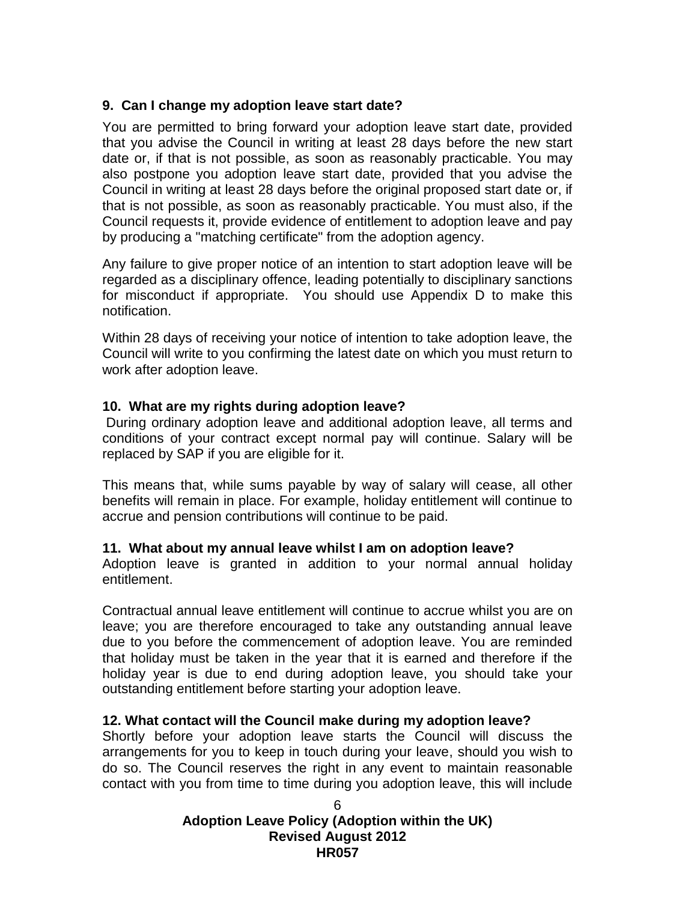### <span id="page-5-0"></span>**9. Can I change my adoption leave start date?**

You are permitted to bring forward your adoption leave start date, provided that you advise the Council in writing at least 28 days before the new start date or, if that is not possible, as soon as reasonably practicable. You may also postpone you adoption leave start date, provided that you advise the Council in writing at least 28 days before the original proposed start date or, if that is not possible, as soon as reasonably practicable. You must also, if the Council requests it, provide evidence of entitlement to adoption leave and pay by producing a "matching certificate" from the adoption agency.

Any failure to give proper notice of an intention to start adoption leave will be regarded as a disciplinary offence, leading potentially to disciplinary sanctions for misconduct if appropriate. You should use Appendix D to make this notification.

Within 28 days of receiving your notice of intention to take adoption leave, the Council will write to you confirming the latest date on which you must return to work after adoption leave.

### <span id="page-5-1"></span>**10. What are my rights during adoption leave?**

During ordinary adoption leave and additional adoption leave, all terms and conditions of your contract except normal pay will continue. Salary will be replaced by SAP if you are eligible for it.

This means that, while sums payable by way of salary will cease, all other benefits will remain in place. For example, holiday entitlement will continue to accrue and pension contributions will continue to be paid.

### <span id="page-5-2"></span>**11. What about my annual leave whilst I am on adoption leave?**

Adoption leave is granted in addition to your normal annual holiday entitlement.

Contractual annual leave entitlement will continue to accrue whilst you are on leave; you are therefore encouraged to take any outstanding annual leave due to you before the commencement of adoption leave. You are reminded that holiday must be taken in the year that it is earned and therefore if the holiday year is due to end during adoption leave, you should take your outstanding entitlement before starting your adoption leave.

### <span id="page-5-3"></span>**12. What contact will the Council make during my adoption leave?**

Shortly before your adoption leave starts the Council will discuss the arrangements for you to keep in touch during your leave, should you wish to do so. The Council reserves the right in any event to maintain reasonable contact with you from time to time during you adoption leave, this will include

# **Adoption Leave Policy (Adoption within the UK) Revised August 2012 HR057**

6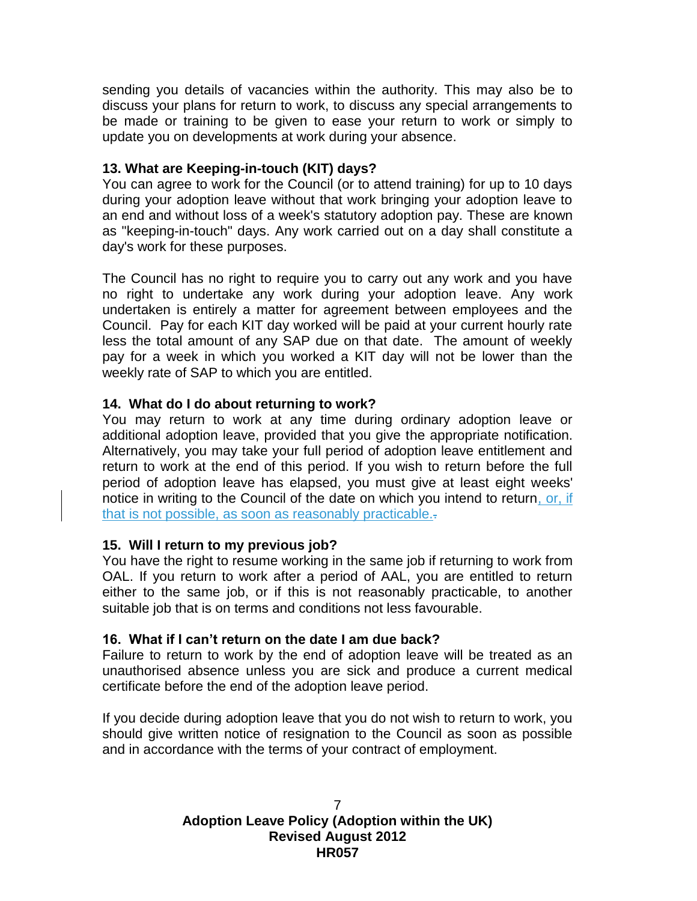sending you details of vacancies within the authority. This may also be to discuss your plans for return to work, to discuss any special arrangements to be made or training to be given to ease your return to work or simply to update you on developments at work during your absence.

#### <span id="page-6-0"></span>**13. What are Keeping-in-touch (KIT) days?**

You can agree to work for the Council (or to attend training) for up to 10 days during your adoption leave without that work bringing your adoption leave to an end and without loss of a week's statutory adoption pay. These are known as "keeping-in-touch" days. Any work carried out on a day shall constitute a day's work for these purposes.

The Council has no right to require you to carry out any work and you have no right to undertake any work during your adoption leave. Any work undertaken is entirely a matter for agreement between employees and the Council. Pay for each KIT day worked will be paid at your current hourly rate less the total amount of any SAP due on that date. The amount of weekly pay for a week in which you worked a KIT day will not be lower than the weekly rate of SAP to which you are entitled.

### <span id="page-6-1"></span>**14. What do I do about returning to work?**

You may return to work at any time during ordinary adoption leave or additional adoption leave, provided that you give the appropriate notification. Alternatively, you may take your full period of adoption leave entitlement and return to work at the end of this period. If you wish to return before the full period of adoption leave has elapsed, you must give at least eight weeks' notice in writing to the Council of the date on which you intend to return, or, if that is not possible, as soon as reasonably practicable.

#### <span id="page-6-2"></span>**15. Will I return to my previous job?**

You have the right to resume working in the same job if returning to work from OAL. If you return to work after a period of AAL, you are entitled to return either to the same job, or if this is not reasonably practicable, to another suitable job that is on terms and conditions not less favourable.

#### <span id="page-6-3"></span>**16. What if I can't return on the date I am due back?**

Failure to return to work by the end of adoption leave will be treated as an unauthorised absence unless you are sick and produce a current medical certificate before the end of the adoption leave period.

If you decide during adoption leave that you do not wish to return to work, you should give written notice of resignation to the Council as soon as possible and in accordance with the terms of your contract of employment.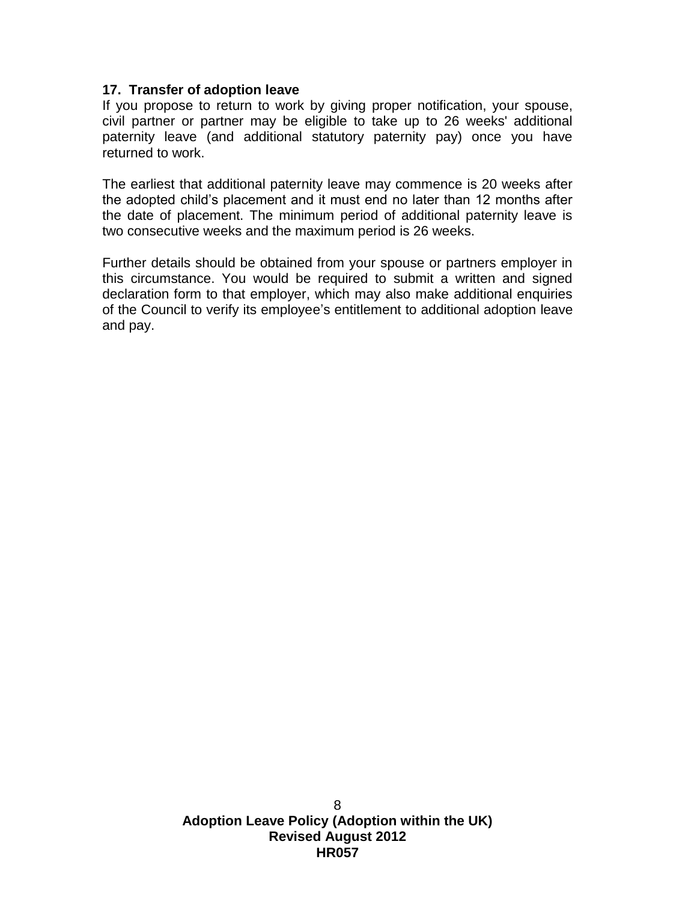#### <span id="page-7-0"></span>**17. Transfer of adoption leave**

If you propose to return to work by giving proper notification, your spouse, civil partner or partner may be eligible to take up to 26 weeks' additional paternity leave (and additional statutory paternity pay) once you have returned to work.

The earliest that additional paternity leave may commence is 20 weeks after the adopted child's placement and it must end no later than 12 months after the date of placement. The minimum period of additional paternity leave is two consecutive weeks and the maximum period is 26 weeks.

Further details should be obtained from your spouse or partners employer in this circumstance. You would be required to submit a written and signed declaration form to that employer, which may also make additional enquiries of the Council to verify its employee's entitlement to additional adoption leave and pay.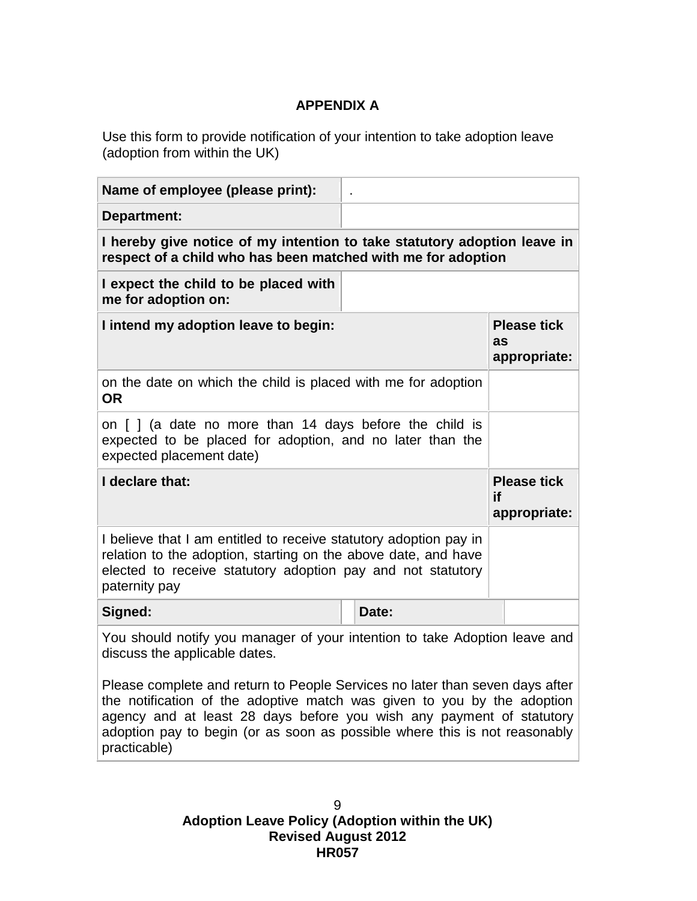# **APPENDIX A**

<span id="page-8-0"></span>Use this form to provide notification of your intention to take adoption leave (adoption from within the UK)

| Name of employee (please print):                                                                                                                                                                                    |                                          |  |  |  |
|---------------------------------------------------------------------------------------------------------------------------------------------------------------------------------------------------------------------|------------------------------------------|--|--|--|
| Department:                                                                                                                                                                                                         |                                          |  |  |  |
| I hereby give notice of my intention to take statutory adoption leave in<br>respect of a child who has been matched with me for adoption                                                                            |                                          |  |  |  |
| I expect the child to be placed with<br>me for adoption on:                                                                                                                                                         |                                          |  |  |  |
| I intend my adoption leave to begin:                                                                                                                                                                                | <b>Please tick</b><br>as<br>appropriate: |  |  |  |
| on the date on which the child is placed with me for adoption<br><b>OR</b>                                                                                                                                          |                                          |  |  |  |
| on [ ] (a date no more than 14 days before the child is<br>expected to be placed for adoption, and no later than the<br>expected placement date)                                                                    |                                          |  |  |  |
|                                                                                                                                                                                                                     |                                          |  |  |  |
| I declare that:                                                                                                                                                                                                     | <b>Please tick</b><br>if<br>appropriate: |  |  |  |
| I believe that I am entitled to receive statutory adoption pay in<br>relation to the adoption, starting on the above date, and have<br>elected to receive statutory adoption pay and not statutory<br>paternity pay |                                          |  |  |  |
| Signed:<br>Date:                                                                                                                                                                                                    |                                          |  |  |  |
| You should notify you manager of your intention to take Adoption leave and<br>discuss the applicable dates.                                                                                                         |                                          |  |  |  |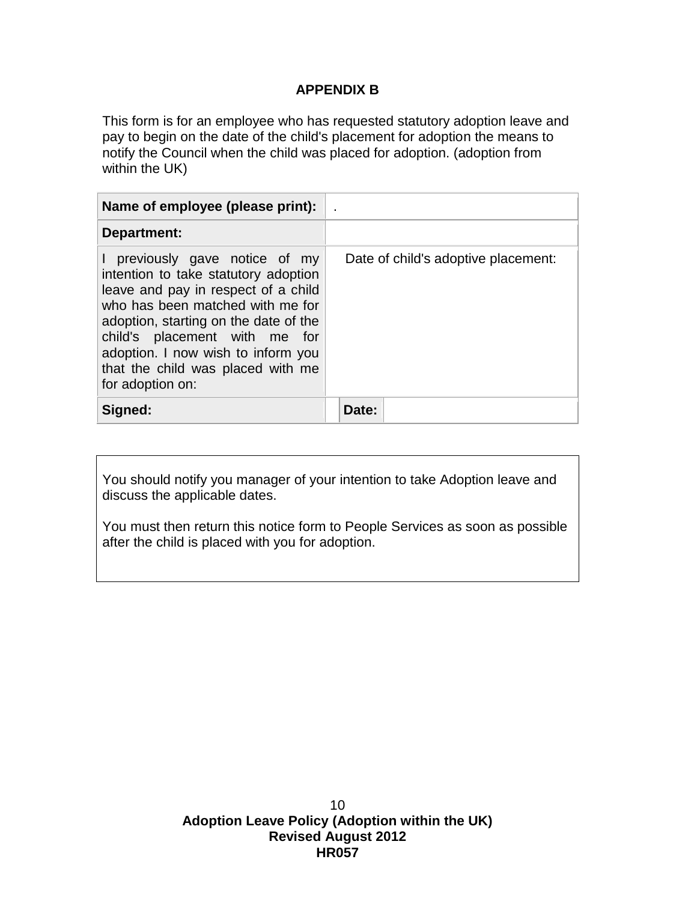### **APPENDIX B**

<span id="page-9-0"></span>This form is for an employee who has requested statutory adoption leave and pay to begin on the date of the child's placement for adoption the means to notify the Council when the child was placed for adoption. (adoption from within the UK)

| Name of employee (please print):                                                                                                                                                                                                                                                                                         |                                     |
|--------------------------------------------------------------------------------------------------------------------------------------------------------------------------------------------------------------------------------------------------------------------------------------------------------------------------|-------------------------------------|
| Department:                                                                                                                                                                                                                                                                                                              |                                     |
| previously gave notice of my<br>intention to take statutory adoption<br>leave and pay in respect of a child<br>who has been matched with me for<br>adoption, starting on the date of the<br>child's placement with me for<br>adoption. I now wish to inform you<br>that the child was placed with me<br>for adoption on: | Date of child's adoptive placement: |
| Signed:                                                                                                                                                                                                                                                                                                                  | Date:                               |

You should notify you manager of your intention to take Adoption leave and discuss the applicable dates.

You must then return this notice form to People Services as soon as possible after the child is placed with you for adoption.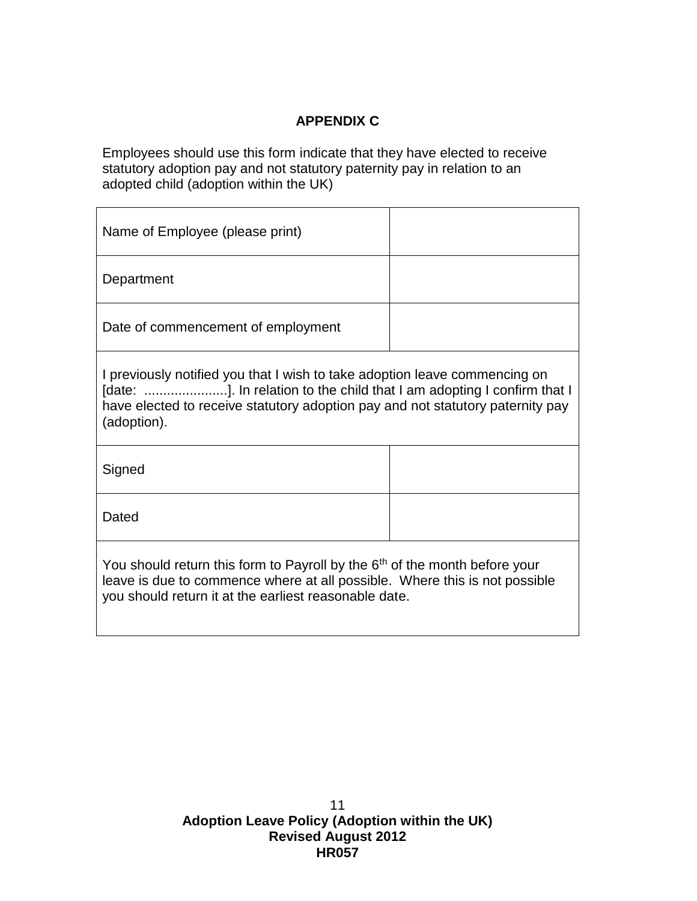## **APPENDIX C**

<span id="page-10-0"></span>Employees should use this form indicate that they have elected to receive statutory adoption pay and not statutory paternity pay in relation to an adopted child (adoption within the UK)

| Name of Employee (please print)                                                                                                                                                                                                                       |  |  |
|-------------------------------------------------------------------------------------------------------------------------------------------------------------------------------------------------------------------------------------------------------|--|--|
| Department                                                                                                                                                                                                                                            |  |  |
| Date of commencement of employment                                                                                                                                                                                                                    |  |  |
| I previously notified you that I wish to take adoption leave commencing on<br>[date: ]. In relation to the child that I am adopting I confirm that I<br>have elected to receive statutory adoption pay and not statutory paternity pay<br>(adoption). |  |  |
| Signed                                                                                                                                                                                                                                                |  |  |
| Dated                                                                                                                                                                                                                                                 |  |  |
| You should return this form to Payroll by the 6 <sup>th</sup> of the month before your<br>leave is due to commence where at all possible. Where this is not possible<br>you should return it at the earliest reasonable date.                         |  |  |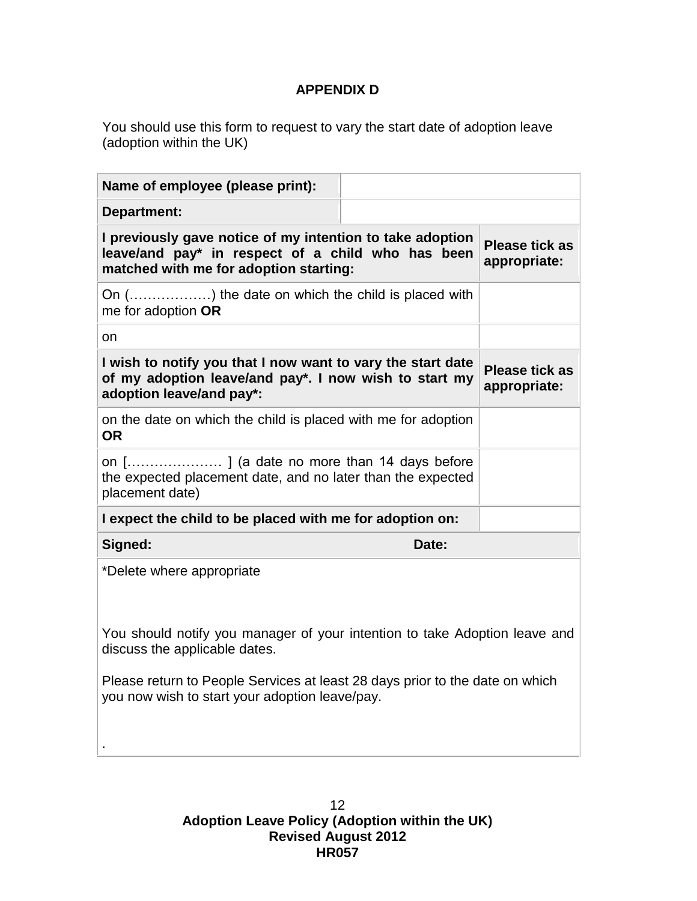## **APPENDIX D**

<span id="page-11-0"></span>You should use this form to request to vary the start date of adoption leave (adoption within the UK)

| Name of employee (please print):                                                                                                                         |                                       |  |
|----------------------------------------------------------------------------------------------------------------------------------------------------------|---------------------------------------|--|
| Department:                                                                                                                                              |                                       |  |
| I previously gave notice of my intention to take adoption<br>leave/and pay* in respect of a child who has been<br>matched with me for adoption starting: | <b>Please tick as</b><br>appropriate: |  |
| On () the date on which the child is placed with<br>me for adoption OR                                                                                   |                                       |  |
| on                                                                                                                                                       |                                       |  |
| I wish to notify you that I now want to vary the start date<br>of my adoption leave/and pay*. I now wish to start my<br>adoption leave/and pay*:         | <b>Please tick as</b><br>appropriate: |  |
| on the date on which the child is placed with me for adoption<br><b>OR</b>                                                                               |                                       |  |
| on [] (a date no more than 14 days before<br>the expected placement date, and no later than the expected<br>placement date)                              |                                       |  |
| I expect the child to be placed with me for adoption on:                                                                                                 |                                       |  |
| Signed:<br>Date:                                                                                                                                         |                                       |  |
| *Delete where appropriate                                                                                                                                |                                       |  |
| You should notify you manager of your intention to take Adoption leave and<br>discuss the applicable dates.                                              |                                       |  |
| Please return to People Services at least 28 days prior to the date on which<br>you now wish to start your adoption leave/pay.                           |                                       |  |
|                                                                                                                                                          |                                       |  |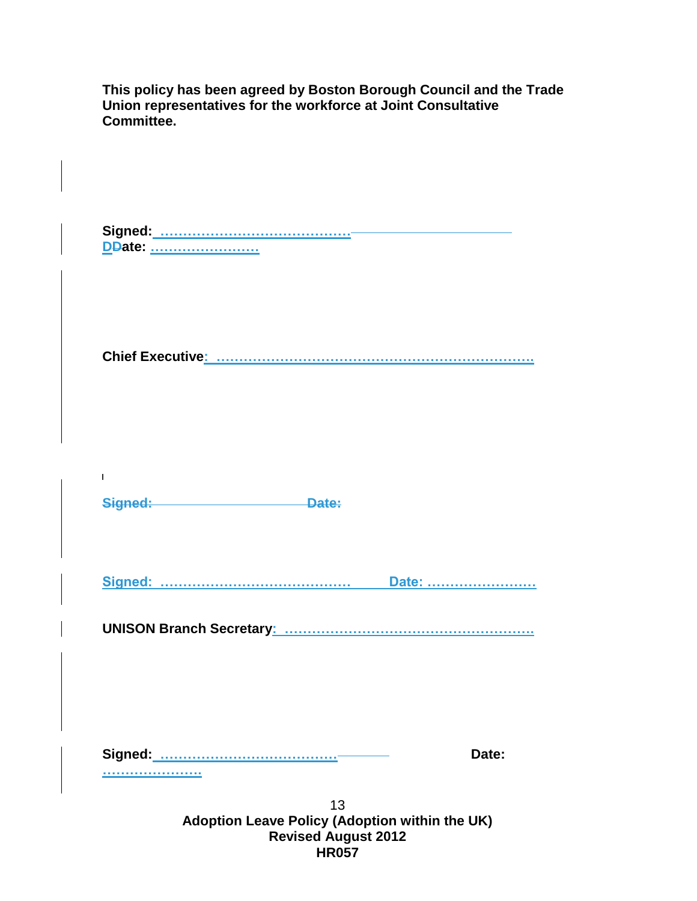**This policy has been agreed by Boston Borough Council and the Trade Union representatives for the workforce at Joint Consultative Committee.**

**Signed: …………………………………… DDate: ……………………**

**Chief Executive: …………………………………………………………….**

**Signed: Date:** 

**Signed: …………………………………… Date: ……………………**

**UNISON Branch Secretary: ……………………………………………….**

**………………….**

 $\mathbf{L}$